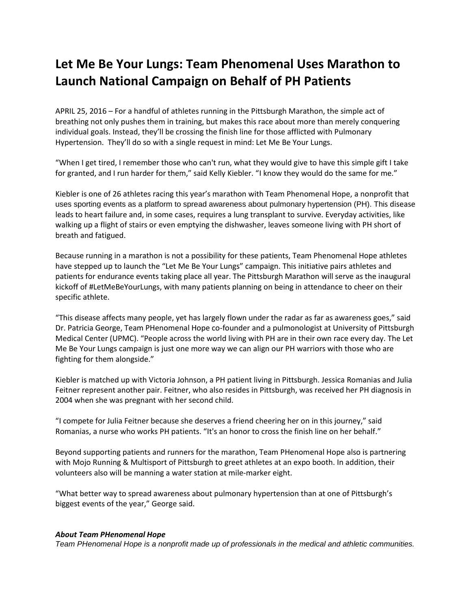## **Let Me Be Your Lungs: Team Phenomenal Uses Marathon to Launch National Campaign on Behalf of PH Patients**

APRIL 25, 2016 – For a handful of athletes running in the Pittsburgh Marathon, the simple act of breathing not only pushes them in training, but makes this race about more than merely conquering individual goals. Instead, they'll be crossing the finish line for those afflicted with Pulmonary Hypertension. They'll do so with a single request in mind: Let Me Be Your Lungs.

"When I get tired, I remember those who can't run, what they would give to have this simple gift I take for granted, and I run harder for them," said Kelly Kiebler. "I know they would do the same for me."

Kiebler is one of 26 athletes racing this year's marathon with Team Phenomenal Hope, a nonprofit that uses sporting events as a platform to spread awareness about pulmonary hypertension (PH). This disease leads to heart failure and, in some cases, requires a lung transplant to survive. Everyday activities, like walking up a flight of stairs or even emptying the dishwasher, leaves someone living with PH short of breath and fatigued.

Because running in a marathon is not a possibility for these patients, Team Phenomenal Hope athletes have stepped up to launch the "Let Me Be Your Lungs" campaign. This initiative pairs athletes and patients for endurance events taking place all year. The Pittsburgh Marathon will serve as the inaugural kickoff of #LetMeBeYourLungs, with many patients planning on being in attendance to cheer on their specific athlete.

"This disease affects many people, yet has largely flown under the radar as far as awareness goes," said Dr. Patricia George, Team PHenomenal Hope co-founder and a pulmonologist at University of Pittsburgh Medical Center (UPMC). "People across the world living with PH are in their own race every day. The Let Me Be Your Lungs campaign is just one more way we can align our PH warriors with those who are fighting for them alongside."

Kiebler is matched up with Victoria Johnson, a PH patient living in Pittsburgh. Jessica Romanias and Julia Feitner represent another pair. Feitner, who also resides in Pittsburgh, was received her PH diagnosis in 2004 when she was pregnant with her second child.

"I compete for Julia Feitner because she deserves a friend cheering her on in this journey," said Romanias, a nurse who works PH patients. "It's an honor to cross the finish line on her behalf."

Beyond supporting patients and runners for the marathon, Team PHenomenal Hope also is partnering with Mojo Running & Multisport of Pittsburgh to greet athletes at an expo booth. In addition, their volunteers also will be manning a water station at mile-marker eight.

"What better way to spread awareness about pulmonary hypertension than at one of Pittsburgh's biggest events of the year," George said.

## *About Team PHenomenal Hope*

*Team PHenomenal Hope is a nonprofit made up of professionals in the medical and athletic communities.*